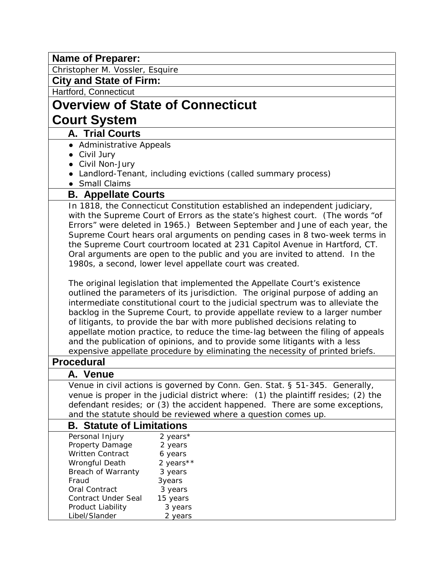**Name of Preparer:**

Christopher M. Vossler, Esquire

**City and State of Firm:** Hartford, Connecticut

# **Overview of State of Connecticut Court System**

#### **A. Trial Courts**

- Administrative Appeals
- Civil Jury
- Civil Non-Jury
- Landlord-Tenant, including evictions (called summary process)
- Small Claims

### **B. Appellate Courts**

In 1818, the Connecticut Constitution established an independent judiciary, with the Supreme Court of Errors as the state's highest court. (The words "of Errors" were deleted in 1965.) Between September and June of each year, the Supreme Court hears oral arguments on pending cases in 8 two-week terms in the Supreme Court courtroom located at 231 Capitol Avenue in Hartford, CT. Oral arguments are open to the public and you are invited to attend. In the 1980s, a second, lower level appellate court was created.

The original legislation that implemented the Appellate Court's existence outlined the parameters of its jurisdiction. The original purpose of adding an intermediate constitutional court to the judicial spectrum was to alleviate the backlog in the Supreme Court, to provide appellate review to a larger number of litigants, to provide the bar with more published decisions relating to appellate motion practice, to reduce the time-lag between the filing of appeals and the publication of opinions, and to provide some litigants with a less expensive appellate procedure by eliminating the necessity of printed briefs.

### **Procedural**

### **A. Venue**

Venue in civil actions is governed by Conn. Gen. Stat. § 51-345. Generally, venue is proper in the judicial district where: (1) the plaintiff resides; (2) the defendant resides; or (3) the accident happened. There are some exceptions, and the statute should be reviewed where a question comes up.

| <b>B. Statute of Limitations</b> |           |  |  |  |  |
|----------------------------------|-----------|--|--|--|--|
| Personal Injury                  | 2 years*  |  |  |  |  |
| Property Damage                  | 2 years   |  |  |  |  |
| <b>Written Contract</b>          | 6 years   |  |  |  |  |
| Wrongful Death                   | 2 years** |  |  |  |  |
| <b>Breach of Warranty</b>        | 3 years   |  |  |  |  |
| Fraud                            | 3years    |  |  |  |  |
| Oral Contract                    | 3 years   |  |  |  |  |
| Contract Under Seal              | 15 years  |  |  |  |  |
| Product Liability                | 3 years   |  |  |  |  |
| Libel/Slander                    | 2 years   |  |  |  |  |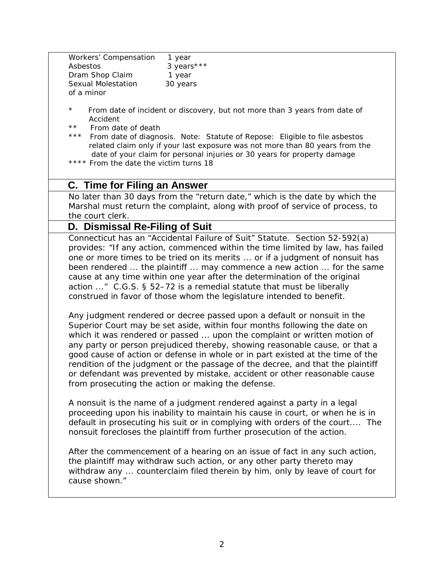| Workers' Compensation | 1 year     |
|-----------------------|------------|
| Asbestos              | 3 years*** |
| Dram Shop Claim       | 1 year     |
| Sexual Molestation    | 30 years   |
| of a minor            |            |

- From date of incident or discovery, but not more than 3 years from date of Accident
- From date of death
- \*\*\* From date of diagnosis. Note: Statute of Repose: Eligible to file asbestos related claim only if your last exposure was not more than 80 years from the date of your claim for personal injuries or 30 years for property damage
- \*\*\*\* From the date the victim turns 18

#### **C. Time for Filing an Answer**

No later than 30 days from the "return date," which is the date by which the Marshal must return the complaint, along with proof of service of process, to the court clerk.

#### **D. Dismissal Re-Filing of Suit**

Connecticut has an "Accidental Failure of Suit" Statute. Section 52-592(a) provides: "If any action, commenced within the time limited by law, has failed one or more times to be tried on its merits ... or if a judgment of nonsuit has been rendered ... the plaintiff ... may commence a new action ... for the same cause at any time within one year after the determination of the original action ..." C.G.S. § 52–72 is a remedial statute that must be liberally construed in favor of those whom the legislature intended to benefit.

Any judgment rendered or decree passed upon a default or nonsuit in the Superior Court may be set aside, within four months following the date on which it was rendered or passed ... upon the complaint or written motion of any party or person prejudiced thereby, showing reasonable cause, or that a good cause of action or defense in whole or in part existed at the time of the rendition of the judgment or the passage of the decree, and that the plaintiff or defendant was prevented by mistake, accident or other reasonable cause from prosecuting the action or making the defense.

A nonsuit is the name of a judgment rendered against a party in a legal proceeding upon his inability to maintain his cause in court, or when he is in default in prosecuting his suit or in complying with orders of the court.... The nonsuit forecloses the plaintiff from further prosecution of the action.

After the commencement of a hearing on an issue of fact in any such action, the plaintiff may withdraw such action, or any other party thereto may withdraw any ... counterclaim filed therein by him, only by leave of court for cause shown."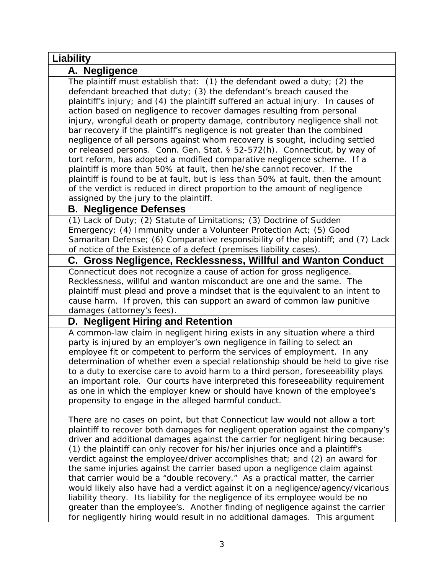| Liability                                                                                                                                                                                                                                                                                                                                                                                                                                                                                                                                                                                                                                                                                                                                                                                                                                                                                                                                                               |  |  |  |
|-------------------------------------------------------------------------------------------------------------------------------------------------------------------------------------------------------------------------------------------------------------------------------------------------------------------------------------------------------------------------------------------------------------------------------------------------------------------------------------------------------------------------------------------------------------------------------------------------------------------------------------------------------------------------------------------------------------------------------------------------------------------------------------------------------------------------------------------------------------------------------------------------------------------------------------------------------------------------|--|--|--|
| A. Negligence                                                                                                                                                                                                                                                                                                                                                                                                                                                                                                                                                                                                                                                                                                                                                                                                                                                                                                                                                           |  |  |  |
| The plaintiff must establish that: $(1)$ the defendant owed a duty; $(2)$ the<br>defendant breached that duty; (3) the defendant's breach caused the<br>plaintiff's injury; and (4) the plaintiff suffered an actual injury. In causes of<br>action based on negligence to recover damages resulting from personal<br>injury, wrongful death or property damage, contributory negligence shall not<br>bar recovery if the plaintiff's negligence is not greater than the combined<br>negligence of all persons against whom recovery is sought, including settled<br>or released persons. Conn. Gen. Stat. § 52-572(h). Connecticut, by way of<br>tort reform, has adopted a modified comparative negligence scheme. If a<br>plaintiff is more than 50% at fault, then he/she cannot recover. If the<br>plaintiff is found to be at fault, but is less than 50% at fault, then the amount<br>of the verdict is reduced in direct proportion to the amount of negligence |  |  |  |
| assigned by the jury to the plaintiff.                                                                                                                                                                                                                                                                                                                                                                                                                                                                                                                                                                                                                                                                                                                                                                                                                                                                                                                                  |  |  |  |
| <b>B. Negligence Defenses</b><br>(1) Lack of Duty; (2) Statute of Limitations; (3) Doctrine of Sudden<br>Emergency; (4) Immunity under a Volunteer Protection Act; (5) Good<br>Samaritan Defense; (6) Comparative responsibility of the plaintiff; and (7) Lack<br>of notice of the Existence of a defect (premises liability cases).                                                                                                                                                                                                                                                                                                                                                                                                                                                                                                                                                                                                                                   |  |  |  |
| C. Gross Negligence, Recklessness, Willful and Wanton Conduct                                                                                                                                                                                                                                                                                                                                                                                                                                                                                                                                                                                                                                                                                                                                                                                                                                                                                                           |  |  |  |
| Connecticut does not recognize a cause of action for gross negligence.<br>Recklessness, willful and wanton misconduct are one and the same. The<br>plaintiff must plead and prove a mindset that is the equivalent to an intent to<br>cause harm. If proven, this can support an award of common law punitive<br>damages (attorney's fees).                                                                                                                                                                                                                                                                                                                                                                                                                                                                                                                                                                                                                             |  |  |  |
| D. Negligent Hiring and Retention                                                                                                                                                                                                                                                                                                                                                                                                                                                                                                                                                                                                                                                                                                                                                                                                                                                                                                                                       |  |  |  |
| A common-law claim in negligent hiring exists in any situation where a third<br>party is injured by an employer's own negligence in failing to select an<br>employee fit or competent to perform the services of employment. In any<br>determination of whether even a special relationship should be held to give rise<br>to a duty to exercise care to avoid harm to a third person, foreseeability plays<br>an important role. Our courts have interpreted this foreseeability requirement<br>as one in which the employer knew or should have known of the employee's<br>propensity to engage in the alleged harmful conduct.                                                                                                                                                                                                                                                                                                                                       |  |  |  |
| There are no cases on point, but that Connecticut law would not allow a tort<br>plaintiff to recover both damages for negligent operation against the company's<br>driver and additional damages against the carrier for negligent hiring because:<br>(1) the plaintiff can only recover for his/her injuries once and a plaintiff's<br>verdict against the employee/driver accomplishes that; and (2) an award for<br>the same injuries against the carrier based upon a negligence claim against<br>that carrier would be a "double recovery." As a practical matter, the carrier<br>would likely also have had a verdict against it on a negligence/agency/vicarious<br>liability theory. Its liability for the negligence of its employee would be no<br>greater than the employee's. Another finding of negligence against the carrier<br>for negligently hiring would result in no additional damages. This argument                                              |  |  |  |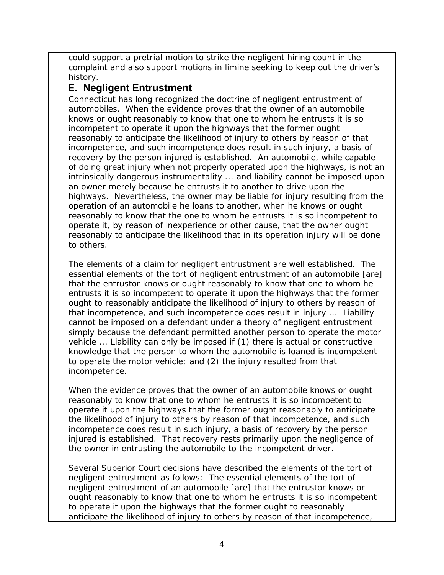could support a pretrial motion to strike the negligent hiring count in the complaint and also support motions in limine seeking to keep out the driver's history.

### **E. Negligent Entrustment**

Connecticut has long recognized the doctrine of negligent entrustment of automobiles. When the evidence proves that the owner of an automobile knows or ought reasonably to know that one to whom he entrusts it is so incompetent to operate it upon the highways that the former ought reasonably to anticipate the likelihood of injury to others by reason of that incompetence, and such incompetence does result in such injury, a basis of recovery by the person injured is established. An automobile, while capable of doing great injury when not properly operated upon the highways, is not an intrinsically dangerous instrumentality ... and liability cannot be imposed upon an owner merely because he entrusts it to another to drive upon the highways. Nevertheless, the owner may be liable for injury resulting from the operation of an automobile he loans to another, when he knows or ought reasonably to know that the one to whom he entrusts it is so incompetent to operate it, by reason of inexperience or other cause, that the owner ought reasonably to anticipate the likelihood that in its operation injury will be done to others.

The elements of a claim for negligent entrustment are well established. The essential elements of the tort of negligent entrustment of an automobile [are] that the entrustor knows or ought reasonably to know that one to whom he entrusts it is so incompetent to operate it upon the highways that the former ought to reasonably anticipate the likelihood of injury to others by reason of that incompetence, and such incompetence does result in injury ... Liability cannot be imposed on a defendant under a theory of negligent entrustment simply because the defendant permitted another person to operate the motor vehicle ... Liability can only be imposed if (1) there is actual or constructive knowledge that the person to whom the automobile is loaned is incompetent to operate the motor vehicle; and (2) the injury resulted from that incompetence.

When the evidence proves that the owner of an automobile knows or ought reasonably to know that one to whom he entrusts it is so incompetent to operate it upon the highways that the former ought reasonably to anticipate the likelihood of injury to others by reason of that incompetence, and such incompetence does result in such injury, a basis of recovery by the person injured is established. That recovery rests primarily upon the negligence of the owner in entrusting the automobile to the incompetent driver.

Several Superior Court decisions have described the elements of the tort of negligent entrustment as follows: The essential elements of the tort of negligent entrustment of an automobile [are] that the entrustor knows or ought reasonably to know that one to whom he entrusts it is so incompetent to operate it upon the highways that the former ought to reasonably anticipate the likelihood of injury to others by reason of that incompetence,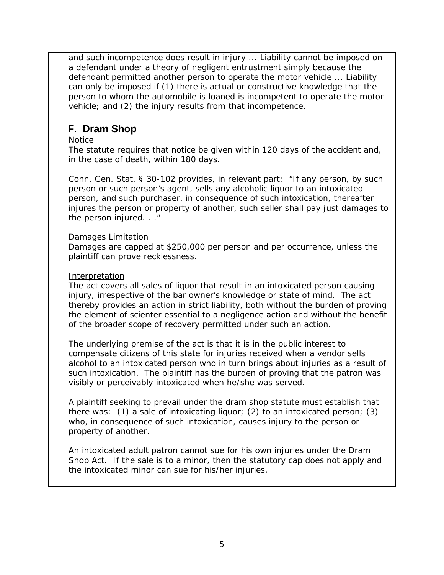and such incompetence does result in injury ... Liability cannot be imposed on a defendant under a theory of negligent entrustment simply because the defendant permitted another person to operate the motor vehicle ... Liability can only be imposed if (1) there is actual or constructive knowledge that the person to whom the automobile is loaned is incompetent to operate the motor vehicle; and (2) the injury results from that incompetence.

### **F. Dram Shop**

#### Notice

The statute requires that notice be given within 120 days of the accident and, in the case of death, within 180 days.

Conn. Gen. Stat. § 30-102 provides, in relevant part: "If any person, by such person or such person's agent, sells any alcoholic liquor to an intoxicated person, and such purchaser, in consequence of such intoxication, thereafter injures the person or property of another, such seller shall pay just damages to the person injured. . ."

#### Damages Limitation

Damages are capped at \$250,000 per person and per occurrence, unless the plaintiff can prove recklessness.

#### Interpretation

The act covers all sales of liquor that result in an intoxicated person causing injury, irrespective of the bar owner's knowledge or state of mind. The act thereby provides an action in strict liability, both without the burden of proving the element of scienter essential to a negligence action and without the benefit of the broader scope of recovery permitted under such an action.

The underlying premise of the act is that it is in the public interest to compensate citizens of this state for injuries received when a vendor sells alcohol to an intoxicated person who in turn brings about injuries as a result of such intoxication. The plaintiff has the burden of proving that the patron was visibly or perceivably intoxicated when he/she was served.

A plaintiff seeking to prevail under the dram shop statute must establish that there was: (1) a sale of intoxicating liquor; (2) to an intoxicated person; (3) who, in consequence of such intoxication, causes injury to the person or property of another.

An intoxicated adult patron cannot sue for his own injuries under the Dram Shop Act. If the sale is to a minor, then the statutory cap does not apply and the intoxicated minor can sue for his/her injuries.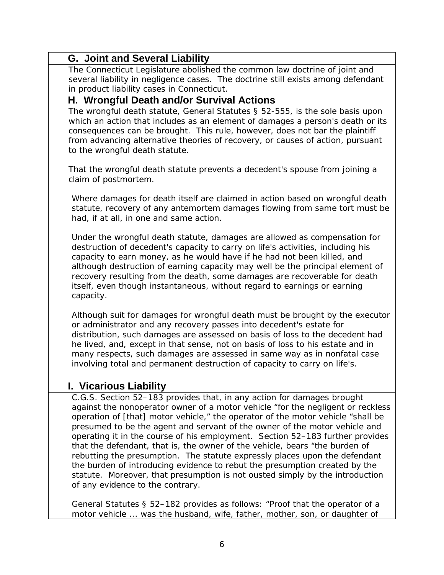### **G. Joint and Several Liability**

The Connecticut Legislature abolished the common law doctrine of joint and several liability in negligence cases. The doctrine still exists among defendant in product liability cases in Connecticut.

### **H. Wrongful Death and/or Survival Actions**

The wrongful death statute, General Statutes § 52-555, is the sole basis upon which an action that includes as an element of damages a person's death or its consequences can be brought. This rule, however, does not bar the plaintiff from advancing alternative theories of recovery, or causes of action, pursuant to the wrongful death statute.

That the wrongful death statute prevents a decedent's spouse from joining a claim of postmortem.

Where damages for death itself are claimed in action based on wrongful death statute, recovery of any antemortem damages flowing from same tort must be had, if at all, in one and same action.

Under the wrongful death statute, damages are allowed as compensation for destruction of decedent's capacity to carry on life's activities, including his capacity to earn money, as he would have if he had not been killed, and although destruction of earning capacity may well be the principal element of recovery resulting from the death, some damages are recoverable for death itself, even though instantaneous, without regard to earnings or earning capacity.

Although suit for damages for wrongful death must be brought by the executor or administrator and any recovery passes into decedent's estate for distribution, such damages are assessed on basis of loss to the decedent had he lived, and, except in that sense, not on basis of loss to his estate and in many respects, such damages are assessed in same way as in nonfatal case involving total and permanent destruction of capacity to carry on life's.

### **I. Vicarious Liability**

C.G.S. Section 52–183 provides that, in any action for damages brought against the nonoperator owner of a motor vehicle "for the negligent or reckless operation of [that] motor vehicle," the operator of the motor vehicle "shall be presumed to be the agent and servant of the owner of the motor vehicle and operating it in the course of his employment. Section 52–183 further provides that the defendant, that is, the owner of the vehicle, bears "the burden of rebutting the presumption. The statute expressly places upon the defendant the burden of introducing evidence to rebut the presumption created by the statute. Moreover, that presumption is not ousted simply by the introduction of any evidence to the contrary.

General Statutes § 52–182 provides as follows: "Proof that the operator of a motor vehicle ... was the husband, wife, father, mother, son, or daughter of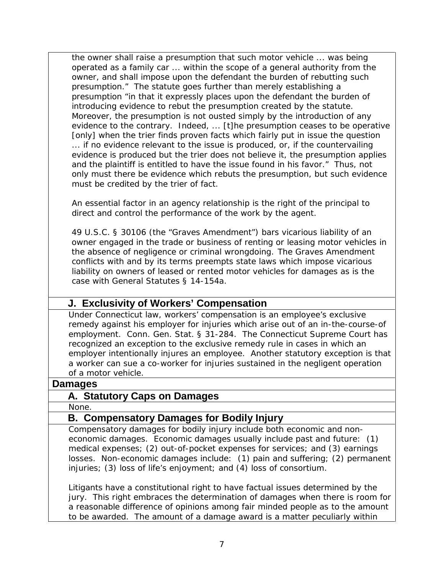the owner shall raise a presumption that such motor vehicle ... was being operated as a family car ... within the scope of a general authority from the owner, and shall impose upon the defendant the burden of rebutting such presumption." The statute goes further than merely establishing a presumption "in that it expressly places upon the defendant the burden of introducing evidence to rebut the presumption created by the statute. Moreover, the presumption is not ousted simply by the introduction of any evidence to the contrary. Indeed, ... [t]he presumption ceases to be operative [only] when the trier finds proven facts which fairly put in issue the question ... if no evidence relevant to the issue is produced, or, if the countervailing evidence is produced but the trier does not believe it, the presumption applies and the plaintiff is entitled to have the issue found in his favor." Thus, not only must there be evidence which rebuts the presumption, but such evidence must be credited by the trier of fact.

An essential factor in an agency relationship is the right of the principal to direct and control the performance of the work by the agent.

49 U.S.C. § 30106 (the "Graves Amendment") bars vicarious liability of an owner engaged in the trade or business of renting or leasing motor vehicles in the absence of negligence or criminal wrongdoing. The Graves Amendment conflicts with and by its terms preempts state laws which impose vicarious liability on owners of leased or rented motor vehicles for damages as is the case with General Statutes § 14-154a.

### **J. Exclusivity of Workers' Compensation**

Under Connecticut law, workers' compensation is an employee's exclusive remedy against his employer for injuries which arise out of an in-the-course-of employment. Conn. Gen. Stat. § 31-284. The Connecticut Supreme Court has recognized an exception to the exclusive remedy rule in cases in which an employer intentionally injures an employee. Another statutory exception is that a worker can sue a co-worker for injuries sustained in the negligent operation of a motor vehicle.

#### **Damages**

### **A. Statutory Caps on Damages**

None.

### **B. Compensatory Damages for Bodily Injury**

Compensatory damages for bodily injury include both economic and noneconomic damages. Economic damages usually include past and future: (1) medical expenses; (2) out-of-pocket expenses for services; and (3) earnings losses. Non-economic damages include: (1) pain and suffering; (2) permanent injuries; (3) loss of life's enjoyment; and (4) loss of consortium.

Litigants have a constitutional right to have factual issues determined by the jury. This right embraces the determination of damages when there is room for a reasonable difference of opinions among fair minded people as to the amount to be awarded. The amount of a damage award is a matter peculiarly within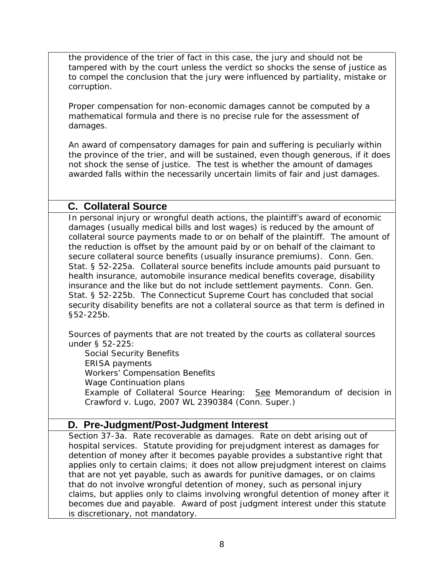the providence of the trier of fact in this case, the jury and should not be tampered with by the court unless the verdict so shocks the sense of justice as to compel the conclusion that the jury were influenced by partiality, mistake or corruption.

Proper compensation for non-economic damages cannot be computed by a mathematical formula and there is no precise rule for the assessment of damages.

An award of compensatory damages for pain and suffering is peculiarly within the province of the trier, and will be sustained, even though generous, if it does not shock the sense of justice. The test is whether the amount of damages awarded falls within the necessarily uncertain limits of fair and just damages.

### **C. Collateral Source**

In personal injury or wrongful death actions, the plaintiff's award of economic damages (usually medical bills and lost wages) is reduced by the amount of collateral source payments made to or on behalf of the plaintiff. The amount of the reduction is offset by the amount paid by or on behalf of the claimant to secure collateral source benefits (usually insurance premiums). Conn. Gen. Stat. § 52-225a. Collateral source benefits include amounts paid pursuant to health insurance, automobile insurance medical benefits coverage, disability insurance and the like but do not include settlement payments. Conn. Gen. Stat. § 52-225b. The Connecticut Supreme Court has concluded that social security disability benefits are not a collateral source as that term is defined in §52-225b.

Sources of payments that are not treated by the courts as collateral sources under § 52-225:

Social Security Benefits ERISA payments Workers' Compensation Benefits Wage Continuation plans Example of Collateral Source Hearing: See Memorandum of decision in *Crawford v. Lugo*, 2007 WL 2390384 (Conn. Super.)

### **D. Pre-Judgment/Post-Judgment Interest**

Section 37-3a. Rate recoverable as damages. Rate on debt arising out of hospital services. Statute providing for prejudgment interest as damages for detention of money after it becomes payable provides a substantive right that applies only to certain claims; it does not allow prejudgment interest on claims that are not yet payable, such as awards for punitive damages, or on claims that do not involve wrongful detention of money, such as personal injury claims, but applies only to claims involving wrongful detention of money after it becomes due and payable. Award of post judgment interest under this statute is discretionary, not mandatory.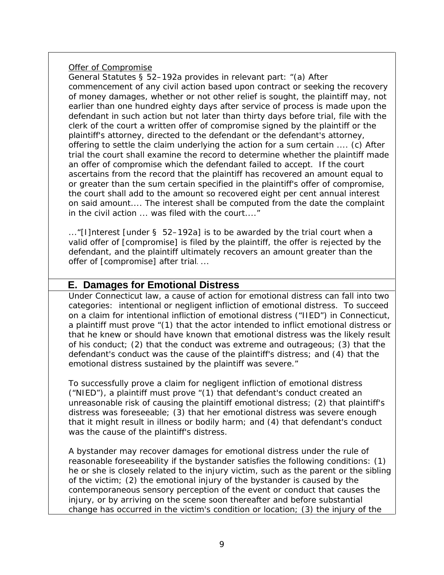#### Offer of Compromise

General Statutes § 52–192a provides in relevant part: "(a) After commencement of any civil action based upon contract or seeking the recovery of money damages, whether or not other relief is sought, the plaintiff may, not earlier than one hundred eighty days after service of process is made upon the defendant in such action but not later than thirty days before trial, file with the clerk of the court a written offer of compromise signed by the plaintiff or the plaintiff's attorney, directed to the defendant or the defendant's attorney, offering to settle the claim underlying the action for a sum certain .... (c) After trial the court shall examine the record to determine whether the plaintiff made an offer of compromise which the defendant failed to accept. If the court ascertains from the record that the plaintiff has recovered an amount equal to or greater than the sum certain specified in the plaintiff's offer of compromise, the court shall add to the amount so recovered eight per cent annual interest on said amount.... The interest shall be computed from the date the complaint in the civil action ... was filed with the court...."

..."[I]nterest [under § [52–192a\] is to be awarded by the trial court when a](https://a.next.westlaw.com/Document/I66b85d21ca9211e191598982704508d1/View/FullText.html?navigationPath=Search%2Fv3%2Fsearch%2Fresults%2Fnavigation%2Fi0ad7051f0000013e0f4d773be793fb3b%3FNav%3DCASE%26fragmentIdentifier%3DI66b85d21ca9211e191598982704508d1%26startIndex%3D1%26contextData%3D%2528sc.Search%2529%26transitionType%3DSearchItem&listSource=Search&listPageSource=d10f74b3bd5c93a46b30b6738bcce1bf&list=ALL&rank=2&grading=na&sessionScopeId=8b393dfc86a8f9db40769e274ba9b523&originationContext=Search%20Result&transitionType=SearchItem&contextData=%28sc.Search%29&isSnapSnippetLink=true#co_snip_53338)  valid offer [of \[compromise\] is filed by the plaintiff, the offer](https://a.next.westlaw.com/Document/I66b85d21ca9211e191598982704508d1/View/FullText.html?navigationPath=Search%2Fv3%2Fsearch%2Fresults%2Fnavigation%2Fi0ad7051f0000013e0f4d773be793fb3b%3FNav%3DCASE%26fragmentIdentifier%3DI66b85d21ca9211e191598982704508d1%26startIndex%3D1%26contextData%3D%2528sc.Search%2529%26transitionType%3DSearchItem&listSource=Search&listPageSource=d10f74b3bd5c93a46b30b6738bcce1bf&list=ALL&rank=2&grading=na&sessionScopeId=8b393dfc86a8f9db40769e274ba9b523&originationContext=Search%20Result&transitionType=SearchItem&contextData=%28sc.Search%29&isSnapSnippetLink=true#co_snip_53338) is rejected by the [defendant, and the plaintiff ultimately recovers an amount greater than the](https://a.next.westlaw.com/Document/I66b85d21ca9211e191598982704508d1/View/FullText.html?navigationPath=Search%2Fv3%2Fsearch%2Fresults%2Fnavigation%2Fi0ad7051f0000013e0f4d773be793fb3b%3FNav%3DCASE%26fragmentIdentifier%3DI66b85d21ca9211e191598982704508d1%26startIndex%3D1%26contextData%3D%2528sc.Search%2529%26transitionType%3DSearchItem&listSource=Search&listPageSource=d10f74b3bd5c93a46b30b6738bcce1bf&list=ALL&rank=2&grading=na&sessionScopeId=8b393dfc86a8f9db40769e274ba9b523&originationContext=Search%20Result&transitionType=SearchItem&contextData=%28sc.Search%29&isSnapSnippetLink=true#co_snip_53338)  offer [of \[compromise\] after trial](https://a.next.westlaw.com/Document/I66b85d21ca9211e191598982704508d1/View/FullText.html?navigationPath=Search%2Fv3%2Fsearch%2Fresults%2Fnavigation%2Fi0ad7051f0000013e0f4d773be793fb3b%3FNav%3DCASE%26fragmentIdentifier%3DI66b85d21ca9211e191598982704508d1%26startIndex%3D1%26contextData%3D%2528sc.Search%2529%26transitionType%3DSearchItem&listSource=Search&listPageSource=d10f74b3bd5c93a46b30b6738bcce1bf&list=ALL&rank=2&grading=na&sessionScopeId=8b393dfc86a8f9db40769e274ba9b523&originationContext=Search%20Result&transitionType=SearchItem&contextData=%28sc.Search%29&isSnapSnippetLink=true#co_snip_53338)....

### **E. Damages for Emotional Distress**

Under Connecticut law, a cause of action for emotional distress can fall into two categories: intentional or negligent infliction of emotional distress. To succeed on a claim for intentional infliction of emotional distress ("IIED") in Connecticut, a plaintiff must prove "(1) that the actor intended to inflict emotional distress or that he knew or should have known that emotional distress was the likely result of his conduct; (2) that the conduct was extreme and outrageous; (3) that the defendant's conduct was the cause of the plaintiff's distress; and (4) that the emotional distress sustained by the plaintiff was severe."

To successfully prove a claim for negligent infliction of emotional distress ("NIED"), a plaintiff must prove "(1) that defendant's conduct created an unreasonable risk of causing the plaintiff emotional distress; (2) that plaintiff's distress was foreseeable; (3) that her emotional distress was severe enough that it might result in illness or bodily harm; and (4) that defendant's conduct was the cause of the plaintiff's distress.

A bystander may recover damages for emotional distress under the rule of reasonable foreseeability if the bystander satisfies the following conditions: (1) he or she is closely related to the injury victim, such as the parent or the sibling of the victim; (2) the emotional injury of the bystander is caused by the contemporaneous sensory perception of the event or conduct that causes the injury, or by arriving on the scene soon thereafter and before substantial change has occurred in the victim's condition or location; (3) the injury of the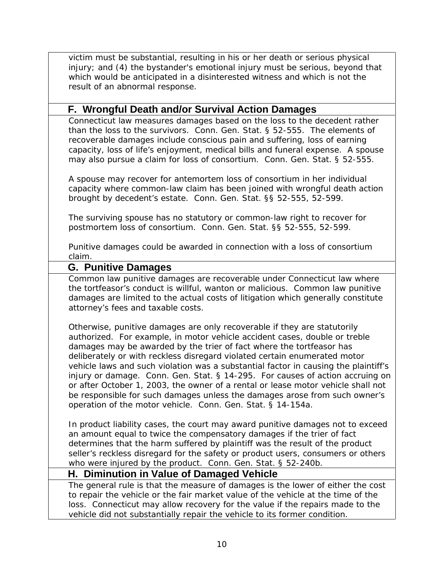victim must be substantial, resulting in his or her death or serious physical injury; and (4) the bystander's emotional injury must be serious, beyond that which would be anticipated in a disinterested witness and which is not the result of an abnormal response.

### **F. Wrongful Death and/or Survival Action Damages**

Connecticut law measures damages based on the loss to the decedent rather than the loss to the survivors. Conn. Gen. Stat. § 52-555. The elements of recoverable damages include conscious pain and suffering, loss of earning capacity, loss of life's enjoyment, medical bills and funeral expense. A spouse may also pursue a claim for loss of consortium. Conn. Gen. Stat. § 52-555.

A spouse may recover for antemortem loss of consortium in her individual capacity where common-law claim has been joined with wrongful death action brought by decedent's estate. Conn. Gen. Stat. §§ 52-555, 52-599.

The surviving spouse has no statutory or common-law right to recover for postmortem loss of consortium. Conn. Gen. Stat. §§ 52-555, 52-599.

Punitive damages could be awarded in connection with a loss of consortium claim.

#### **G. Punitive Damages**

Common law punitive damages are recoverable under Connecticut law where the tortfeasor's conduct is willful, wanton or malicious. Common law punitive damages are limited to the actual costs of litigation which generally constitute attorney's fees and taxable costs.

Otherwise, punitive damages are only recoverable if they are statutorily authorized. For example, in motor vehicle accident cases, double or treble damages may be awarded by the trier of fact where the tortfeasor has deliberately or with reckless disregard violated certain enumerated motor vehicle laws and such violation was a substantial factor in causing the plaintiff's injury or damage. Conn. Gen. Stat. § 14-295. For causes of action accruing on or after October 1, 2003, the owner of a rental or lease motor vehicle shall not be responsible for such damages unless the damages arose from such owner's operation of the motor vehicle. Conn. Gen. Stat. § 14-154a.

In product liability cases, the court may award punitive damages not to exceed an amount equal to twice the compensatory damages if the trier of fact determines that the harm suffered by plaintiff was the result of the product seller's reckless disregard for the safety or product users, consumers or others who were injured by the product. Conn. Gen. Stat. § 52-240b.

### **H. Diminution in Value of Damaged Vehicle**

The general rule is that the measure of damages is the lower of either the cost to repair the vehicle or the fair market value of the vehicle at the time of the loss. Connecticut may allow recovery for the value if the repairs made to the vehicle did not substantially repair the vehicle to its former condition.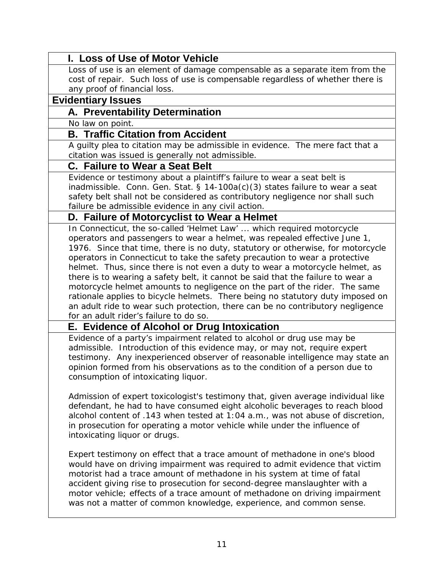| I. Loss of Use of Motor Vehicle                                                                                                                                  |  |
|------------------------------------------------------------------------------------------------------------------------------------------------------------------|--|
| Loss of use is an element of damage compensable as a separate item from the                                                                                      |  |
| cost of repair. Such loss of use is compensable regardless of whether there is                                                                                   |  |
| any proof of financial loss.                                                                                                                                     |  |
| <b>Evidentiary Issues</b>                                                                                                                                        |  |
| A. Preventability Determination                                                                                                                                  |  |
| No law on point.                                                                                                                                                 |  |
| <b>B. Traffic Citation from Accident</b>                                                                                                                         |  |
| A guilty plea to citation may be admissible in evidence. The mere fact that a                                                                                    |  |
| citation was issued is generally not admissible.                                                                                                                 |  |
| C. Failure to Wear a Seat Belt                                                                                                                                   |  |
| Evidence or testimony about a plaintiff's failure to wear a seat belt is                                                                                         |  |
| inadmissible. Conn. Gen. Stat. § 14-100a(c)(3) states failure to wear a seat                                                                                     |  |
| safety belt shall not be considered as contributory negligence nor shall such                                                                                    |  |
| failure be admissible evidence in any civil action.                                                                                                              |  |
| D. Failure of Motorcyclist to Wear a Helmet                                                                                                                      |  |
| In Connecticut, the so-called 'Helmet Law'  which required motorcycle                                                                                            |  |
| operators and passengers to wear a helmet, was repealed effective June 1,                                                                                        |  |
| 1976. Since that time, there is no duty, statutory or otherwise, for motorcycle                                                                                  |  |
| operators in Connecticut to take the safety precaution to wear a protective                                                                                      |  |
| helmet. Thus, since there is not even a duty to wear a motorcycle helmet, as                                                                                     |  |
| there is to wearing a safety belt, it cannot be said that the failure to wear a                                                                                  |  |
| motorcycle helmet amounts to negligence on the part of the rider. The same                                                                                       |  |
| rationale applies to bicycle helmets. There being no statutory duty imposed on<br>an adult ride to wear such protection, there can be no contributory negligence |  |
| for an adult rider's failure to do so.                                                                                                                           |  |
| <b>E. Evidence of Alcohol or Drug Intoxication</b>                                                                                                               |  |
| Evidence of a party's impairment related to alcohol or drug use may be                                                                                           |  |
| admissible. Introduction of this evidence may, or may not, require expert                                                                                        |  |
| testimony. Any inexperienced observer of reasonable intelligence may state an                                                                                    |  |
| opinion formed from his observations as to the condition of a person due to                                                                                      |  |
| consumption of intoxicating liquor.                                                                                                                              |  |
|                                                                                                                                                                  |  |
| Admission of expert toxicologist's testimony that, given average individual like                                                                                 |  |
| defendant, he had to have consumed eight alcoholic beverages to reach blood                                                                                      |  |
| alcohol content of .143 when tested at 1:04 a.m., was not abuse of discretion,                                                                                   |  |
| in prosecution for operating a motor vehicle while under the influence of                                                                                        |  |
| intoxicating liquor or drugs.                                                                                                                                    |  |
|                                                                                                                                                                  |  |
| Expert testimony on effect that a trace amount of methadone in one's blood                                                                                       |  |
| would have on driving impairment was required to admit evidence that victim<br>motorist had a trace amount of methadone in his system at time of fatal           |  |
| accident giving rise to prosecution for second-degree manslaughter with a                                                                                        |  |
| motor vehicle; effects of a trace amount of methadone on driving impairment                                                                                      |  |
| was not a matter of common knowledge, experience, and common sense.                                                                                              |  |
|                                                                                                                                                                  |  |
|                                                                                                                                                                  |  |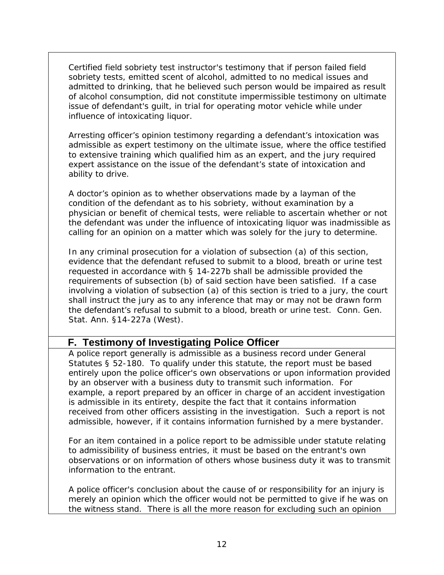Certified field sobriety test instructor's testimony that if person failed field sobriety tests, emitted scent of alcohol, admitted to no medical issues and admitted to drinking, that he believed such person would be impaired as result of alcohol consumption, did not constitute impermissible testimony on ultimate issue of defendant's guilt, in trial for operating motor vehicle while under influence of intoxicating liquor.

Arresting officer's opinion testimony regarding a defendant's intoxication was admissible as expert testimony on the ultimate issue, where the office testified to extensive training which qualified him as an expert, and the jury required expert assistance on the issue of the defendant's state of intoxication and ability to drive.

A doctor's opinion as to whether observations made by a layman of the condition of the defendant as to his sobriety, without examination by a physician or benefit of chemical tests, were reliable to ascertain whether or not the defendant was under the influence of intoxicating liquor was inadmissible as calling for an opinion on a matter which was solely for the jury to determine.

In any criminal prosecution for a violation of subsection (a) of this section, evidence that the defendant refused to submit to a blood, breath or urine test requested in accordance with § 14-227b shall be admissible provided the requirements of subsection (b) of said section have been satisfied. If a case involving a violation of subsection (a) of this section is tried to a jury, the court shall instruct the jury as to any inference that may or may not be drawn form the defendant's refusal to submit to a blood, breath or urine test. Conn. Gen. Stat. Ann. §14-227a (West).

### **F. Testimony of Investigating Police Officer**

A police report generally is admissible as a business record under General Statutes § 52-180. To qualify under this statute, the report must be based entirely upon the police officer's own observations or upon information provided by an observer with a business duty to transmit such information. For example, a report prepared by an officer in charge of an accident investigation is admissible in its entirety, despite the fact that it contains information received from other officers assisting in the investigation. Such a report is not admissible, however, if it contains information furnished by a mere bystander.

For an item contained in a police report to be admissible under statute relating to admissibility of business entries, it must be based on the entrant's own observations or on information of others whose business duty it was to transmit information to the entrant.

A police officer's conclusion about the cause of or responsibility for an injury is merely an opinion which the officer would not be permitted to give if he was on the witness stand. There is all the more reason for excluding such an opinion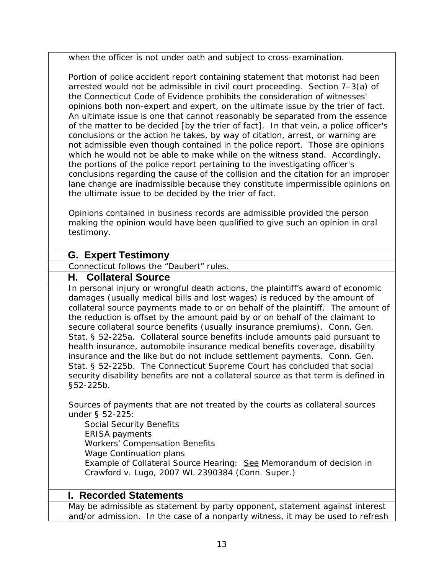when the officer is not under oath and subject to cross-examination.

Portion of police accident report containing statement that motorist had been arrested would not be admissible in civil court proceeding. Section 7–3(a) of the Connecticut Code of Evidence prohibits the consideration of witnesses' opinions both non-expert and expert, on the ultimate issue by the trier of fact. An ultimate issue is one that cannot reasonably be separated from the essence of the matter to be decided [by the trier of fact]. In that vein, a police officer's conclusions or the action he takes, by way of citation, arrest, or warning are not admissible even though contained in the police report. Those are opinions which he would not be able to make while on the witness stand. Accordingly, the portions of the police report pertaining to the investigating officer's conclusions regarding the cause of the collision and the citation for an improper lane change are inadmissible because they constitute impermissible opinions on the ultimate issue to be decided by the trier of fact.

Opinions contained in business records are admissible provided the person making the opinion would have been qualified to give such an opinion in oral testimony.

#### **G. Expert Testimony**

Connecticut follows the "Daubert" rules.

### **H. Collateral Source**

In personal injury or wrongful death actions, the plaintiff's award of economic damages (usually medical bills and lost wages) is reduced by the amount of collateral source payments made to or on behalf of the plaintiff. The amount of the reduction is offset by the amount paid by or on behalf of the claimant to secure collateral source benefits (usually insurance premiums). Conn. Gen. Stat. § 52-225a. Collateral source benefits include amounts paid pursuant to health insurance, automobile insurance medical benefits coverage, disability insurance and the like but do not include settlement payments. Conn. Gen. Stat. § 52-225b. The Connecticut Supreme Court has concluded that social security disability benefits are not a collateral source as that term is defined in §52-225b.

Sources of payments that are not treated by the courts as collateral sources under § 52-225:

Social Security Benefits ERISA payments Workers' Compensation Benefits Wage Continuation plans Example of Collateral Source Hearing: See Memorandum of decision in *Crawford v. Lugo*, 2007 WL 2390384 (Conn. Super.)

#### **I. Recorded Statements**

May be admissible as statement by party opponent, statement against interest and/or admission. In the case of a nonparty witness, it may be used to refresh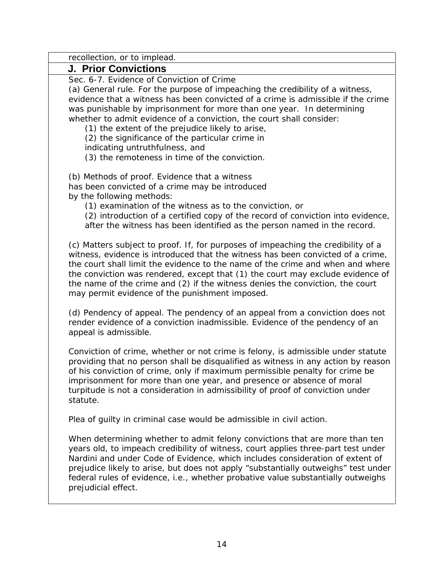| recollection, or to implead.                                                                                                                                                                                                                                                                                                                                                                                                                                                                                                                              |
|-----------------------------------------------------------------------------------------------------------------------------------------------------------------------------------------------------------------------------------------------------------------------------------------------------------------------------------------------------------------------------------------------------------------------------------------------------------------------------------------------------------------------------------------------------------|
| <b>J. Prior Convictions</b>                                                                                                                                                                                                                                                                                                                                                                                                                                                                                                                               |
| Sec. 6-7. Evidence of Conviction of Crime<br>(a) General rule. For the purpose of impeaching the credibility of a witness,<br>evidence that a witness has been convicted of a crime is admissible if the crime<br>was punishable by imprisonment for more than one year. In determining<br>whether to admit evidence of a conviction, the court shall consider:<br>(1) the extent of the prejudice likely to arise,<br>(2) the significance of the particular crime in<br>indicating untruthfulness, and<br>(3) the remoteness in time of the conviction. |
| (b) Methods of proof. Evidence that a witness<br>has been convicted of a crime may be introduced<br>by the following methods:<br>(1) examination of the witness as to the conviction, or<br>(2) introduction of a certified copy of the record of conviction into evidence,<br>after the witness has been identified as the person named in the record.                                                                                                                                                                                                   |
| (c) Matters subject to proof. If, for purposes of impeaching the credibility of a<br>witness, evidence is introduced that the witness has been convicted of a crime,<br>the court shall limit the evidence to the name of the crime and when and where<br>the conviction was rendered, except that (1) the court may exclude evidence of<br>the name of the crime and (2) if the witness denies the conviction, the court<br>may permit evidence of the punishment imposed.                                                                               |
| (d) Pendency of appeal. The pendency of an appeal from a conviction does not<br>render evidence of a conviction inadmissible. Evidence of the pendency of an<br>appeal is admissible.                                                                                                                                                                                                                                                                                                                                                                     |
| Conviction of crime, whether or not crime is felony, is admissible under statute<br>providing that no person shall be disqualified as witness in any action by reason<br>of his conviction of crime, only if maximum permissible penalty for crime be<br>imprisonment for more than one year, and presence or absence of moral<br>turpitude is not a consideration in admissibility of proof of conviction under<br>statute.                                                                                                                              |
| Plea of guilty in criminal case would be admissible in civil action.                                                                                                                                                                                                                                                                                                                                                                                                                                                                                      |
| When determining whether to admit felony convictions that are more than ten<br>years old, to impeach credibility of witness, court applies three-part test under<br>Nardini and under Code of Evidence, which includes consideration of extent of<br>prejudice likely to arise, but does not apply "substantially outweighs" test under<br>federal rules of evidence, i.e., whether probative value substantially outweighs<br>prejudicial effect.                                                                                                        |
|                                                                                                                                                                                                                                                                                                                                                                                                                                                                                                                                                           |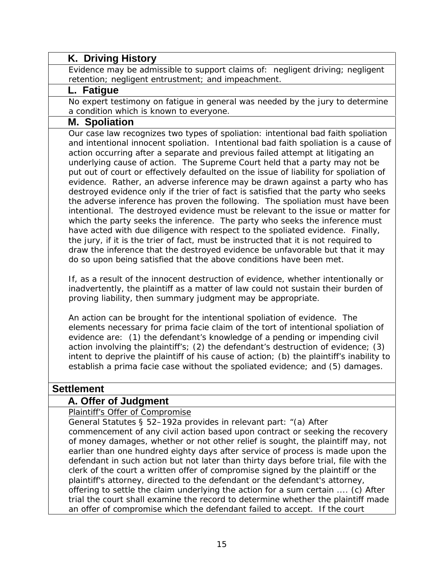| <b>K. Driving History</b>                                                                                                                                                                                                                                                                                                                                                                                                                                                                                                                                                                                                                                                                                                                                                                                                                                                                                                                                                                                                                                                                                                                                                                  |
|--------------------------------------------------------------------------------------------------------------------------------------------------------------------------------------------------------------------------------------------------------------------------------------------------------------------------------------------------------------------------------------------------------------------------------------------------------------------------------------------------------------------------------------------------------------------------------------------------------------------------------------------------------------------------------------------------------------------------------------------------------------------------------------------------------------------------------------------------------------------------------------------------------------------------------------------------------------------------------------------------------------------------------------------------------------------------------------------------------------------------------------------------------------------------------------------|
| Evidence may be admissible to support claims of: negligent driving; negligent                                                                                                                                                                                                                                                                                                                                                                                                                                                                                                                                                                                                                                                                                                                                                                                                                                                                                                                                                                                                                                                                                                              |
| retention; negligent entrustment; and impeachment.                                                                                                                                                                                                                                                                                                                                                                                                                                                                                                                                                                                                                                                                                                                                                                                                                                                                                                                                                                                                                                                                                                                                         |
| L. Fatigue                                                                                                                                                                                                                                                                                                                                                                                                                                                                                                                                                                                                                                                                                                                                                                                                                                                                                                                                                                                                                                                                                                                                                                                 |
| No expert testimony on fatigue in general was needed by the jury to determine                                                                                                                                                                                                                                                                                                                                                                                                                                                                                                                                                                                                                                                                                                                                                                                                                                                                                                                                                                                                                                                                                                              |
| a condition which is known to everyone.                                                                                                                                                                                                                                                                                                                                                                                                                                                                                                                                                                                                                                                                                                                                                                                                                                                                                                                                                                                                                                                                                                                                                    |
| <b>M. Spoliation</b>                                                                                                                                                                                                                                                                                                                                                                                                                                                                                                                                                                                                                                                                                                                                                                                                                                                                                                                                                                                                                                                                                                                                                                       |
| Our case law recognizes two types of spoliation: intentional bad faith spoliation<br>and intentional innocent spoliation. Intentional bad faith spoliation is a cause of<br>action occurring after a separate and previous failed attempt at litigating an<br>underlying cause of action. The Supreme Court held that a party may not be<br>put out of court or effectively defaulted on the issue of liability for spoliation of<br>evidence. Rather, an adverse inference may be drawn against a party who has<br>destroyed evidence only if the trier of fact is satisfied that the party who seeks<br>the adverse inference has proven the following. The spoliation must have been<br>intentional. The destroyed evidence must be relevant to the issue or matter for<br>which the party seeks the inference. The party who seeks the inference must<br>have acted with due diligence with respect to the spoliated evidence. Finally,<br>the jury, if it is the trier of fact, must be instructed that it is not required to<br>draw the inference that the destroyed evidence be unfavorable but that it may<br>do so upon being satisfied that the above conditions have been met. |
| If, as a result of the innocent destruction of evidence, whether intentionally or<br>inadvertently, the plaintiff as a matter of law could not sustain their burden of<br>proving liability, then summary judgment may be appropriate.<br>An action can be brought for the intentional spoliation of evidence. The<br>elements necessary for prima facie claim of the tort of intentional spoliation of<br>evidence are: (1) the defendant's knowledge of a pending or impending civil<br>action involving the plaintiff's; (2) the defendant's destruction of evidence; (3)<br>intent to deprive the plaintiff of his cause of action; (b) the plaintiff's inability to                                                                                                                                                                                                                                                                                                                                                                                                                                                                                                                   |
| establish a prima facie case without the spoliated evidence; and (5) damages.                                                                                                                                                                                                                                                                                                                                                                                                                                                                                                                                                                                                                                                                                                                                                                                                                                                                                                                                                                                                                                                                                                              |
| <b>Settlement</b>                                                                                                                                                                                                                                                                                                                                                                                                                                                                                                                                                                                                                                                                                                                                                                                                                                                                                                                                                                                                                                                                                                                                                                          |
| A. Offer of Judgment                                                                                                                                                                                                                                                                                                                                                                                                                                                                                                                                                                                                                                                                                                                                                                                                                                                                                                                                                                                                                                                                                                                                                                       |
| Plaintiff's Offer of Compromise<br>General Statutes § 52-192a provides in relevant part: "(a) After<br>commencement of any civil action based upon contract or seeking the recovery<br>of money damages, whether or not other relief is sought, the plaintiff may, not<br>earlier than one hundred eighty days after service of process is made upon the<br>defendant in such action but not later than thirty days before trial, file with the                                                                                                                                                                                                                                                                                                                                                                                                                                                                                                                                                                                                                                                                                                                                            |
| clerk of the court a written offer of compromise signed by the plaintiff or the<br>plaintiff's attorney, directed to the defendant or the defendant's attorney,<br>offering to settle the claim underlying the action for a sum certain  (c) After<br>trial the court shall examine the record to determine whether the plaintiff made<br>an offer of compromise which the defendant failed to accept. If the court                                                                                                                                                                                                                                                                                                                                                                                                                                                                                                                                                                                                                                                                                                                                                                        |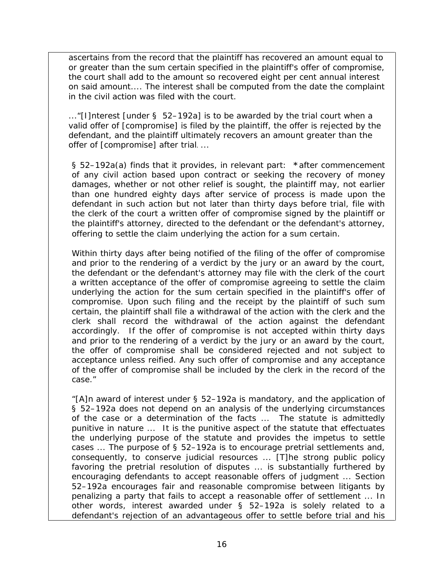ascertains from the record that the plaintiff has recovered an amount equal to or greater than the sum certain specified in the plaintiff's offer of compromise, the court shall add to the amount so recovered eight per cent annual interest on said amount.... The interest shall be computed from the date the complaint in the civil action was filed with the court.

..."[I]nterest [under § [52–192a\] is to be awarded by the trial court when a](https://a.next.westlaw.com/Document/I66b85d21ca9211e191598982704508d1/View/FullText.html?navigationPath=Search%2Fv3%2Fsearch%2Fresults%2Fnavigation%2Fi0ad7051f0000013e0f4d773be793fb3b%3FNav%3DCASE%26fragmentIdentifier%3DI66b85d21ca9211e191598982704508d1%26startIndex%3D1%26contextData%3D%2528sc.Search%2529%26transitionType%3DSearchItem&listSource=Search&listPageSource=d10f74b3bd5c93a46b30b6738bcce1bf&list=ALL&rank=2&grading=na&sessionScopeId=8b393dfc86a8f9db40769e274ba9b523&originationContext=Search%20Result&transitionType=SearchItem&contextData=%28sc.Search%29&isSnapSnippetLink=true#co_snip_53338)  valid offer [of \[compromise\] is filed by the plaintiff, the offer](https://a.next.westlaw.com/Document/I66b85d21ca9211e191598982704508d1/View/FullText.html?navigationPath=Search%2Fv3%2Fsearch%2Fresults%2Fnavigation%2Fi0ad7051f0000013e0f4d773be793fb3b%3FNav%3DCASE%26fragmentIdentifier%3DI66b85d21ca9211e191598982704508d1%26startIndex%3D1%26contextData%3D%2528sc.Search%2529%26transitionType%3DSearchItem&listSource=Search&listPageSource=d10f74b3bd5c93a46b30b6738bcce1bf&list=ALL&rank=2&grading=na&sessionScopeId=8b393dfc86a8f9db40769e274ba9b523&originationContext=Search%20Result&transitionType=SearchItem&contextData=%28sc.Search%29&isSnapSnippetLink=true#co_snip_53338) is rejected by the [defendant, and the plaintiff ultimately recovers an amount greater than the](https://a.next.westlaw.com/Document/I66b85d21ca9211e191598982704508d1/View/FullText.html?navigationPath=Search%2Fv3%2Fsearch%2Fresults%2Fnavigation%2Fi0ad7051f0000013e0f4d773be793fb3b%3FNav%3DCASE%26fragmentIdentifier%3DI66b85d21ca9211e191598982704508d1%26startIndex%3D1%26contextData%3D%2528sc.Search%2529%26transitionType%3DSearchItem&listSource=Search&listPageSource=d10f74b3bd5c93a46b30b6738bcce1bf&list=ALL&rank=2&grading=na&sessionScopeId=8b393dfc86a8f9db40769e274ba9b523&originationContext=Search%20Result&transitionType=SearchItem&contextData=%28sc.Search%29&isSnapSnippetLink=true#co_snip_53338)  offer [of \[compromise\] after trial](https://a.next.westlaw.com/Document/I66b85d21ca9211e191598982704508d1/View/FullText.html?navigationPath=Search%2Fv3%2Fsearch%2Fresults%2Fnavigation%2Fi0ad7051f0000013e0f4d773be793fb3b%3FNav%3DCASE%26fragmentIdentifier%3DI66b85d21ca9211e191598982704508d1%26startIndex%3D1%26contextData%3D%2528sc.Search%2529%26transitionType%3DSearchItem&listSource=Search&listPageSource=d10f74b3bd5c93a46b30b6738bcce1bf&list=ALL&rank=2&grading=na&sessionScopeId=8b393dfc86a8f9db40769e274ba9b523&originationContext=Search%20Result&transitionType=SearchItem&contextData=%28sc.Search%29&isSnapSnippetLink=true#co_snip_53338)....

§ 52–192a(a) finds that it provides, in relevant part: **\***after commencement of any civil action based upon contract or seeking the recovery of money damages, whether or not other relief is sought, the plaintiff may, not earlier than one hundred eighty days after service of process is made upon the defendant in such action but not later than thirty days before trial, file with the clerk of the court a written offer of compromise signed by the plaintiff or the plaintiff's attorney, directed to the defendant or the defendant's attorney, offering to settle the claim underlying the action for a sum certain.

Within thirty days after being notified of the filing of the offer of compromise and prior to the rendering of a verdict by the jury or an award by the court, the defendant or the defendant's attorney may file with the clerk of the court a written acceptance of the offer of compromise agreeing to settle the claim underlying the action for the sum certain specified in the plaintiff's offer of compromise. Upon such filing and the receipt by the plaintiff of such sum certain, the plaintiff shall file a withdrawal of the action with the clerk and the clerk shall record the withdrawal of the action against the defendant accordingly. If the offer of compromise is not accepted within thirty days and prior to the rendering of a verdict by the jury or an award by the court, the offer of compromise shall be considered rejected and not subject to acceptance unless reified. Any such offer of compromise and any acceptance of the offer of compromise shall be included by the clerk in the record of the case."

"[A]n award of interest under § 52–192a is mandatory, and the application of § 52–192a does not depend on an analysis of the underlying circumstances of the case or a determination of the facts ... The statute is admittedly punitive in nature ... It is the punitive aspect of the statute that effectuates the underlying purpose of the statute and provides the impetus to settle cases ... The purpose of § 52–192a is to encourage pretrial settlements and, consequently, to conserve judicial resources ... [T]he strong public policy favoring the pretrial resolution of disputes ... is substantially furthered by encouraging defendants to accept reasonable offers of judgment ... Section 52–192a encourages fair and reasonable compromise between litigants by penalizing a party that fails to accept a reasonable offer of settlement ... In other words, interest awarded under § 52–192a is solely related to a defendant's rejection of an advantageous offer to settle before trial and his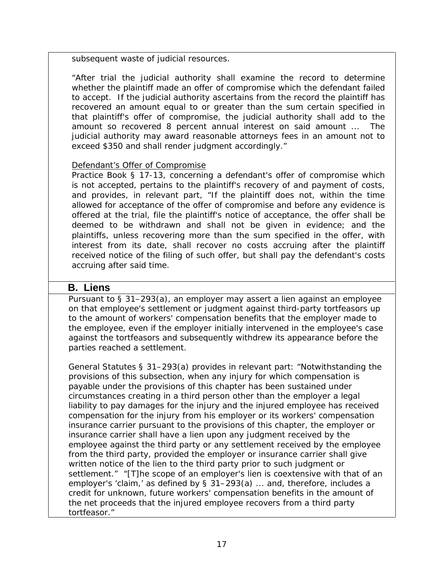subsequent waste of judicial resources.

"After trial the judicial authority shall examine the record to determine whether the plaintiff made an offer of compromise which the defendant failed to accept. If the judicial authority ascertains from the record the plaintiff has recovered an amount equal to or greater than the sum certain specified in that plaintiff's offer of compromise, the judicial authority shall add to the amount so recovered 8 percent annual interest on said amount ... The judicial authority may award reasonable attorneys fees in an amount not to exceed \$350 and shall render judgment accordingly."

#### Defendant's Offer of Compromise

Practice Book § 17-13, concerning a defendant's offer of compromise which is not accepted, pertains to the plaintiff's recovery of and payment of costs, and provides, in relevant part, "If the plaintiff does not, within the time allowed for acceptance of the offer of compromise and before any evidence is offered at the trial, file the plaintiff's notice of acceptance, the offer shall be deemed to be withdrawn and shall not be given in evidence; and the plaintiffs, unless recovering more than the sum specified in the offer, with interest from its date, shall recover no costs accruing after the plaintiff received notice of the filing of such offer, but shall pay the defendant's costs accruing after said time.

#### **B. Liens**

Pursuant to § 31–293(a), an employer may assert a lien against an employee on that employee's settlement or judgment against third-party tortfeasors up to the amount of workers' compensation benefits that the employer made to the employee, even if the employer initially intervened in the employee's case against the tortfeasors and subsequently withdrew its appearance before the parties reached a settlement.

General Statutes § 31–293(a) provides in relevant part: "Notwithstanding the provisions of this subsection, when any injury for which compensation is payable under the provisions of this chapter has been sustained under circumstances creating in a third person other than the employer a legal liability to pay damages for the injury and the injured employee has received compensation for the injury from his employer or its workers' compensation insurance carrier pursuant to the provisions of this chapter, the employer or insurance carrier shall have a lien upon any judgment received by the employee against the third party or any settlement received by the employee from the third party, provided the employer or insurance carrier shall give written notice of the lien to the third party prior to such judgment or settlement." "[T]he scope of an employer's lien is coextensive with that of an employer's 'claim,' as defined by § 31–293(a) ... and, therefore, includes a credit for unknown, future workers' compensation benefits in the amount of the net proceeds that the injured employee recovers from a third party tortfeasor."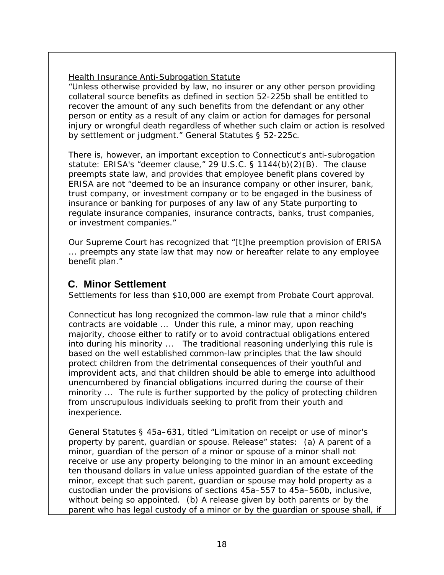#### Health Insurance Anti-Subrogation Statute

"Unless otherwise provided by law, no insurer or any other person providing collateral source benefits as defined in section 52-225b shall be entitled to recover the amount of any such benefits from the defendant or any other person or entity as a result of any claim or action for damages for personal injury or wrongful death regardless of whether such claim or action is resolved by settlement or judgment." General Statutes § 52-225c.

There is, however, an important exception to Connecticut's anti-subrogation statute: ERISA's "deemer clause," 29 U.S.C. § 1144(b)(2)(B). The clause preempts state law, and provides that employee benefit plans covered by ERISA are not "deemed to be an insurance company or other insurer, bank, trust company, or investment company or to be engaged in the business of insurance or banking for purposes of any law of any State purporting to regulate insurance companies, insurance contracts, banks, trust companies, or investment companies."

Our Supreme Court has recognized that "[t]he preemption provision of ERISA ... preempts any state law that may now or hereafter *relate* to any employee benefit plan."

#### **C. Minor Settlement**

Settlements for less than \$10,000 are exempt from Probate Court approval.

Connecticut has long recognized the common-law rule that a minor child's contracts are voidable ... Under this rule, a minor may, upon reaching majority, choose either to ratify or to avoid contractual obligations entered into during his minority ... The traditional reasoning underlying this rule is based on the well established common-law principles that the law should protect children from the detrimental consequences of their youthful and improvident acts, and that children should be able to emerge into adulthood unencumbered by financial obligations incurred during the course of their minority ... The rule is further supported by the policy of protecting children from unscrupulous individuals seeking to profit from their youth and inexperience.

General Statutes § 45a–631, titled "Limitation on receipt or use of minor's property by parent, guardian or spouse. Release" states: (a) A parent of a minor, guardian of the person of a minor or spouse of a minor shall not receive or use any property belonging to the minor in an amount exceeding ten thousand dollars in value unless appointed guardian of the estate of the minor, except that such parent, guardian or spouse may hold property as a custodian under the provisions of sections 45a–557 to 45a–560b, inclusive, without being so appointed. (b) A release given by both parents or by the parent who has legal custody of a minor or by the guardian or spouse shall, if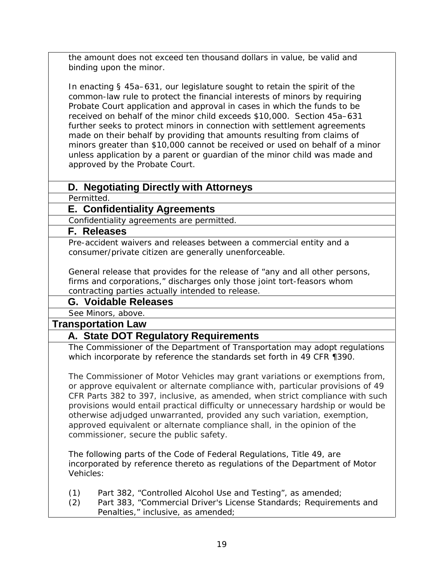the amount does not exceed ten thousand dollars in value, be valid and binding upon the minor.

In enacting § 45a–631, our legislature sought to retain the spirit of the common-law rule to protect the financial interests of minors by requiring Probate Court application and approval in cases in which the funds to be received on behalf of the minor child exceeds \$10,000. Section 45a–631 further seeks to protect minors in connection with settlement agreements made on their behalf by providing that amounts resulting from claims of minors greater than \$10,000 cannot be received or used on behalf of a minor unless application by a parent or guardian of the minor child was made and approved by the Probate Court.

### **D. Negotiating Directly with Attorneys**

Permitted.

### **E. Confidentiality Agreements**

Confidentiality agreements are permitted.

#### **F. Releases**

Pre-accident waivers and releases between a commercial entity and a consumer/private citizen are generally unenforceable.

General release that provides for the release of "any and all other persons, firms and corporations," discharges only those joint tort-feasors whom contracting parties actually intended to release.

#### **G. Voidable Releases**

See Minors, above.

#### **Transportation Law**

### **A. State DOT Regulatory Requirements**

The Commissioner of the Department of Transportation may adopt regulations which incorporate by reference the standards set forth in 49 CFR ¶390.

The Commissioner of Motor Vehicles may grant variations or exemptions from, or approve equivalent or alternate compliance with, particular provisions of 49 CFR Parts 382 to 397, inclusive, as amended, when strict compliance with such provisions would entail practical difficulty or unnecessary hardship or would be otherwise adjudged unwarranted, provided any such variation, exemption, approved equivalent or alternate compliance shall, in the opinion of the commissioner, secure the public safety.

The following parts of the Code of Federal Regulations, Title 49, are incorporated by reference thereto as regulations of the Department of Motor Vehicles:

- (1) Part 382, "Controlled Alcohol Use and Testing", as amended;
- (2) Part 383, "Commercial Driver's License Standards; Requirements and Penalties," inclusive, as amended;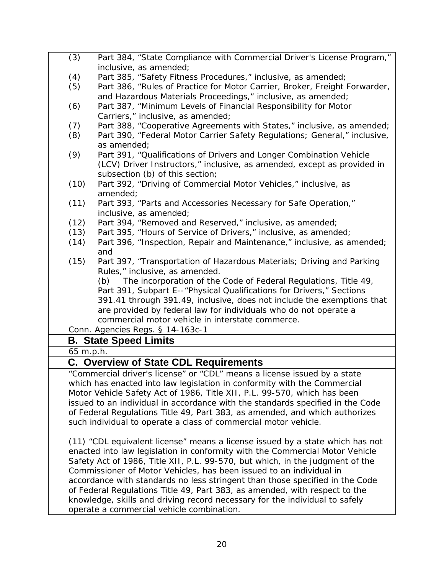| (3)                                                                            | Part 384, "State Compliance with Commercial Driver's License Program,"      |  |  |  |
|--------------------------------------------------------------------------------|-----------------------------------------------------------------------------|--|--|--|
|                                                                                | inclusive, as amended;                                                      |  |  |  |
| (4)                                                                            | Part 385, "Safety Fitness Procedures," inclusive, as amended;               |  |  |  |
| (5)                                                                            | Part 386, "Rules of Practice for Motor Carrier, Broker, Freight Forwarder,  |  |  |  |
|                                                                                | and Hazardous Materials Proceedings," inclusive, as amended;                |  |  |  |
| (6)                                                                            | Part 387, "Minimum Levels of Financial Responsibility for Motor             |  |  |  |
|                                                                                | Carriers," inclusive, as amended;                                           |  |  |  |
| (7)                                                                            | Part 388, "Cooperative Agreements with States," inclusive, as amended;      |  |  |  |
| (8)                                                                            | Part 390, "Federal Motor Carrier Safety Regulations; General," inclusive,   |  |  |  |
|                                                                                | as amended;                                                                 |  |  |  |
| (9)                                                                            | Part 391, "Qualifications of Drivers and Longer Combination Vehicle         |  |  |  |
|                                                                                | (LCV) Driver Instructors," inclusive, as amended, except as provided in     |  |  |  |
|                                                                                | subsection (b) of this section;                                             |  |  |  |
| (10)                                                                           | Part 392, "Driving of Commercial Motor Vehicles," inclusive, as             |  |  |  |
|                                                                                | amended;                                                                    |  |  |  |
| (11)                                                                           | Part 393, "Parts and Accessories Necessary for Safe Operation,"             |  |  |  |
|                                                                                | inclusive, as amended;                                                      |  |  |  |
| (12)                                                                           | Part 394, "Removed and Reserved," inclusive, as amended;                    |  |  |  |
| (13)                                                                           | Part 395, "Hours of Service of Drivers," inclusive, as amended;             |  |  |  |
| (14)                                                                           | Part 396, "Inspection, Repair and Maintenance," inclusive, as amended;      |  |  |  |
|                                                                                | and                                                                         |  |  |  |
| (15)                                                                           | Part 397, "Transportation of Hazardous Materials; Driving and Parking       |  |  |  |
|                                                                                | Rules," inclusive, as amended.                                              |  |  |  |
|                                                                                | The incorporation of the Code of Federal Regulations, Title 49,<br>(b)      |  |  |  |
|                                                                                | Part 391, Subpart E--"Physical Qualifications for Drivers," Sections        |  |  |  |
|                                                                                | 391.41 through 391.49, inclusive, does not include the exemptions that      |  |  |  |
|                                                                                | are provided by federal law for individuals who do not operate a            |  |  |  |
|                                                                                | commercial motor vehicle in interstate commerce.                            |  |  |  |
|                                                                                | Conn. Agencies Regs. § 14-163c-1                                            |  |  |  |
|                                                                                | <b>B. State Speed Limits</b>                                                |  |  |  |
| 65 m.p.h.                                                                      |                                                                             |  |  |  |
|                                                                                | <b>C. Overview of State CDL Requirements</b>                                |  |  |  |
| "Commercial driver's license" or "CDL" means a license issued by a state       |                                                                             |  |  |  |
| which has enacted into law legislation in conformity with the Commercial       |                                                                             |  |  |  |
| Motor Vehicle Safety Act of 1986, Title XII, P.L. 99-570, which has been       |                                                                             |  |  |  |
| issued to an individual in accordance with the standards specified in the Code |                                                                             |  |  |  |
|                                                                                | of Federal Regulations Title 49, Part 383, as amended, and which authorizes |  |  |  |

(11) "CDL equivalent license" means a license issued by a state which has not enacted into law legislation in conformity with the Commercial Motor Vehicle Safety Act of 1986, Title XII, P.L. 99-570, but which, in the judgment of the Commissioner of Motor Vehicles, has been issued to an individual in accordance with standards no less stringent than those specified in the Code of Federal Regulations Title 49, Part 383, as amended, with respect to the knowledge, skills and driving record necessary for the individual to safely operate a commercial vehicle combination.

such individual to operate a class of commercial motor vehicle.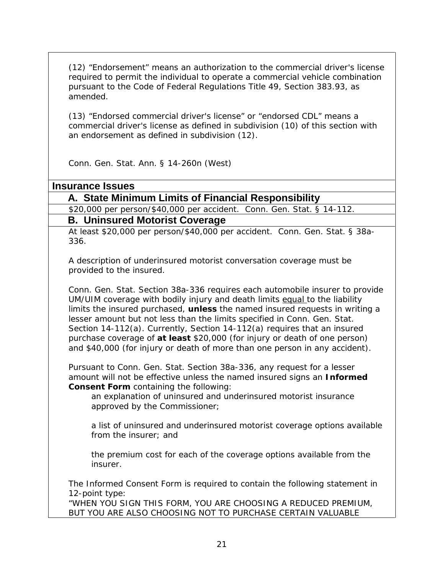(12) "Endorsement" means an authorization to the commercial driver's license required to permit the individual to operate a commercial vehicle combination pursuant to the Code of Federal Regulations Title 49, Section 383.93, as amended.

(13) "Endorsed commercial driver's license" or "endorsed CDL" means a commercial driver's license as defined in subdivision (10) of this section with an endorsement as defined in subdivision (12).

Conn. Gen. Stat. Ann. § 14-260n (West)

#### **Insurance Issues**

#### **A. State Minimum Limits of Financial Responsibility**

\$20,000 per person/\$40,000 per accident. Conn. Gen. Stat. § 14-112.

#### **B. Uninsured Motorist Coverage**

At least \$20,000 per person/\$40,000 per accident. Conn. Gen. Stat. § 38a-336.

A description of underinsured motorist conversation coverage must be provided to the insured.

Conn. Gen. Stat. Section 38a-336 requires each automobile insurer to provide UM/UIM coverage with bodily injury and death limits equal to the liability limits the insured purchased, *unless* the named insured requests in writing a lesser amount but not less than the limits specified in Conn. Gen. Stat. Section 14-112(a). Currently, Section 14-112(a) requires that an insured purchase coverage of *at least* \$20,000 (for injury or death of one person) and \$40,000 (for injury or death of more than one person in any accident).

Pursuant to Conn. Gen. Stat. Section 38a-336, any request for a lesser amount will not be effective unless the named insured signs an *Informed Consent Form* containing the following:

an explanation of uninsured and underinsured motorist insurance approved by the Commissioner;

a list of uninsured and underinsured motorist coverage options available from the insurer; and

the premium cost for each of the coverage options available from the insurer.

The Informed Consent Form is required to contain the following statement in 12-point type:

"WHEN YOU SIGN THIS FORM, YOU ARE CHOOSING A REDUCED PREMIUM, BUT YOU ARE ALSO CHOOSING NOT TO PURCHASE CERTAIN VALUABLE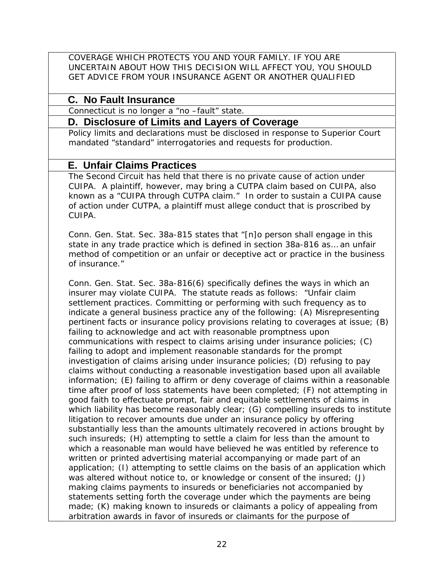COVERAGE WHICH PROTECTS YOU AND YOUR FAMILY. IF YOU ARE UNCERTAIN ABOUT HOW THIS DECISION WILL AFFECT YOU, YOU SHOULD GET ADVICE FROM YOUR INSURANCE AGENT OR ANOTHER QUALIFIED

#### **C. No Fault Insurance**

Connecticut is no longer a "no –fault" state.

### **D. Disclosure of Limits and Layers of Coverage**

Policy limits and declarations must be disclosed in response to Superior Court mandated "standard" interrogatories and requests for production.

#### **E. Unfair Claims Practices**

The Second Circuit has held that there is no private cause of action under CUIPA. A plaintiff, however, may bring a CUTPA claim based on CUIPA, also known as a "CUIPA through CUTPA claim." In order to sustain a CUIPA cause of action under CUTPA, a plaintiff must allege conduct that is proscribed by CUIPA.

Conn. Gen. Stat. Sec. 38a-815 states that "[n]o person shall engage in this state in any trade practice which is defined in section 38a-816 as… an unfair method of competition or an unfair or deceptive act or practice in the business of insurance."

Conn. Gen. Stat. Sec. 38a-816(6) specifically defines the ways in which an insurer may violate CUIPA. The statute reads as follows: "Unfair claim settlement practices. Committing or performing with such frequency as to indicate a general business practice any of the following: (A) Misrepresenting pertinent facts or insurance policy provisions relating to coverages at issue; (B) failing to acknowledge and act with reasonable promptness upon communications with respect to claims arising under insurance policies; (C) failing to adopt and implement reasonable standards for the prompt investigation of claims arising under insurance policies; (D) refusing to pay claims without conducting a reasonable investigation based upon all available information; (E) failing to affirm or deny coverage of claims within a reasonable time after proof of loss statements have been completed; (F) not attempting in good faith to effectuate prompt, fair and equitable settlements of claims in which liability has become reasonably clear; (G) compelling insureds to institute litigation to recover amounts due under an insurance policy by offering substantially less than the amounts ultimately recovered in actions brought by such insureds; (H) attempting to settle a claim for less than the amount to which a reasonable man would have believed he was entitled by reference to written or printed advertising material accompanying or made part of an application; (I) attempting to settle claims on the basis of an application which was altered without notice to, or knowledge or consent of the insured; (J) making claims payments to insureds or beneficiaries not accompanied by statements setting forth the coverage under which the payments are being made; (K) making known to insureds or claimants a policy of appealing from arbitration awards in favor of insureds or claimants for the purpose of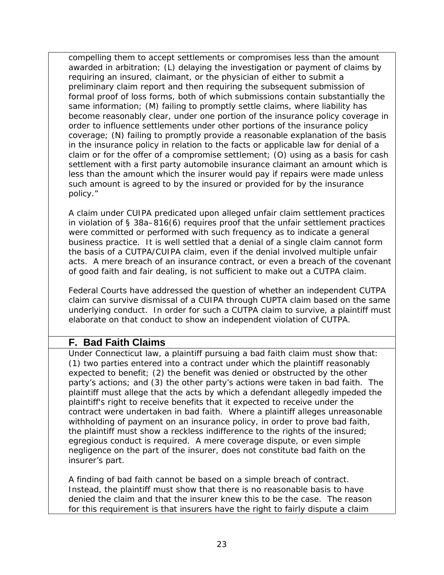compelling them to accept settlements or compromises less than the amount awarded in arbitration; (L) delaying the investigation or payment of claims by requiring an insured, claimant, or the physician of either to submit a preliminary claim report and then requiring the subsequent submission of formal proof of loss forms, both of which submissions contain substantially the same information; (M) failing to promptly settle claims, where liability has become reasonably clear, under one portion of the insurance policy coverage in order to influence settlements under other portions of the insurance policy coverage; (N) failing to promptly provide a reasonable explanation of the basis in the insurance policy in relation to the facts or applicable law for denial of a claim or for the offer of a compromise settlement; (O) using as a basis for cash settlement with a first party automobile insurance claimant an amount which is less than the amount which the insurer would pay if repairs were made unless such amount is agreed to by the insured or provided for by the insurance policy."

A claim under CUIPA predicated upon alleged unfair claim settlement practices in violation of § 38a–816(6) requires proof that the unfair settlement practices were committed or performed with such frequency as to indicate a general business practice. It is well settled that a denial of a single claim cannot form the basis of a CUTPA/CUIPA claim, even if the denial involved multiple unfair acts. A mere breach of an insurance contract, or even a breach of the covenant of good faith and fair dealing, is not sufficient to make out a CUTPA claim.

Federal Courts have addressed the question of whether an independent CUTPA claim can survive dismissal of a CUIPA through CUPTA claim based on the same underlying conduct. In order for such a CUTPA claim to survive, a plaintiff must elaborate on that conduct to show an independent violation of CUTPA.

### **F. Bad Faith Claims**

Under Connecticut law, a plaintiff pursuing a bad faith claim must show that: (1) two parties entered into a contract under which the plaintiff reasonably expected to benefit; (2) the benefit was denied or obstructed by the other party's actions; and (3) the other party's actions were taken in bad faith. The plaintiff must allege that the acts by which a defendant allegedly impeded the plaintiff's right to receive benefits that it expected to receive under the contract were undertaken in bad faith. Where a plaintiff alleges unreasonable withholding of payment on an insurance policy, in order to prove bad faith, the plaintiff must show a reckless indifference to the rights of the insured; egregious conduct is required. A mere coverage dispute, or even simple negligence on the part of the insurer, does not constitute bad faith on the insurer's part.

A finding of bad faith cannot be based on a simple breach of contract. Instead, the plaintiff must show that there is no reasonable basis to have denied the claim and that the insurer knew this to be the case. The reason for this requirement is that insurers have the right to fairly dispute a claim